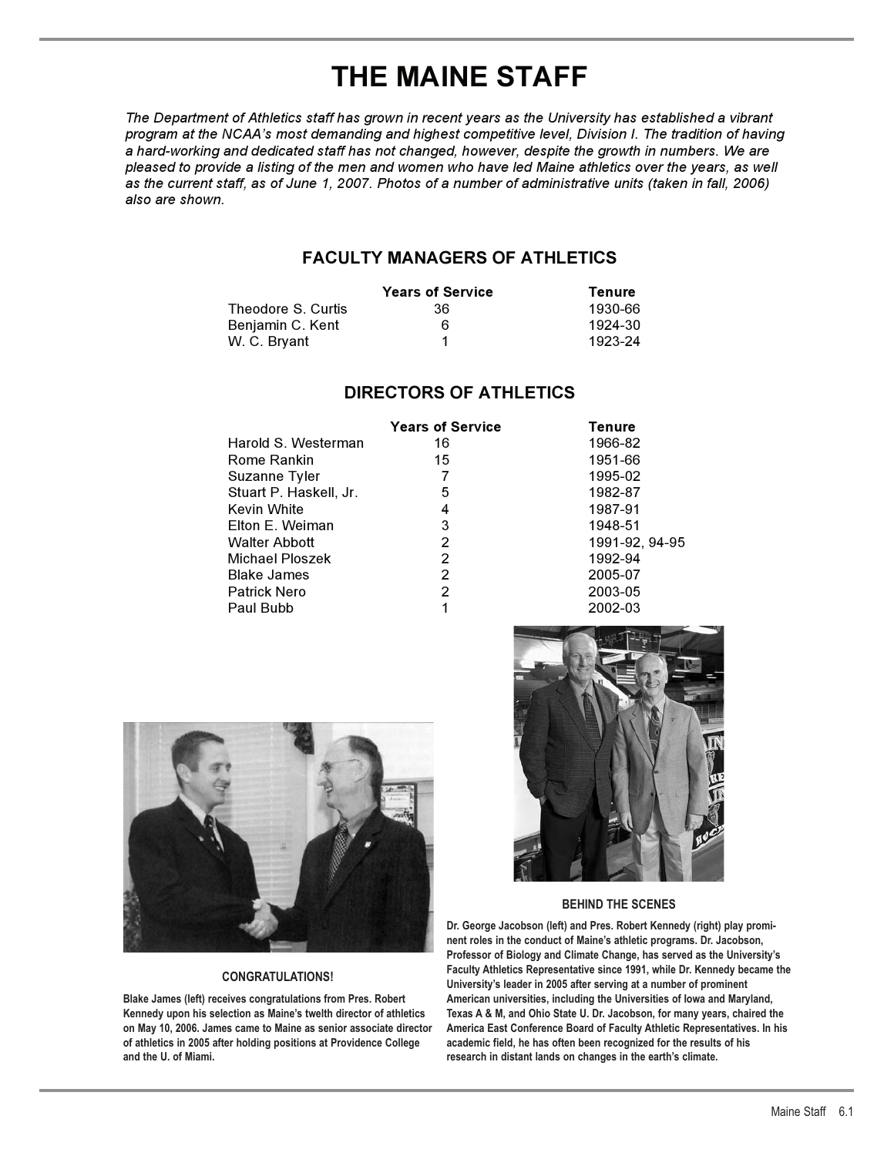# **THE MAINE STAFF**

*The Department of Athletics staff has grown in recent years as the University has established a vibrant program at the NCAA's most demanding and highest competitive level, Division I. The tradition of having a hard-working and dedicated staff has not changed, however, despite the growth in numbers. We are pleased to provide a listing of the men and women who have led Maine athletics over the years, as well as the current staff, as of June 1, 2007. Photos of a number of administrative units (taken in fall, 2006) also are shown.*

## **FACULTY MANAGERS OF ATHLETICS**

|                    | <b>Years of Service</b> | Tenure  |
|--------------------|-------------------------|---------|
| Theodore S. Curtis | 36                      | 1930-66 |
| Benjamin C. Kent   | 6                       | 1924-30 |
| W. C. Bryant       |                         | 1923-24 |

## **DIRECTORS OF ATHLETICS**

|             |                        | <b>Years of Service</b> | Tenure         |
|-------------|------------------------|-------------------------|----------------|
|             | Harold S. Westerman    | 16                      | 1966-82        |
|             | Rome Rankin            | 15                      | 1951-66        |
|             | Suzanne Tyler          |                         | 1995-02        |
|             | Stuart P. Haskell, Jr. | 5                       | 1982-87        |
| Kevin White |                        | 4                       | 1987-91        |
|             | Elton E. Weiman        | 3                       | 1948-51        |
|             | <b>Walter Abbott</b>   | 2                       | 1991-92, 94-95 |
|             | Michael Ploszek        | 2                       | 1992-94        |
|             | <b>Blake James</b>     | 2                       | 2005-07        |
|             | <b>Patrick Nero</b>    | 2                       | 2003-05        |
| Paul Bubb   |                        |                         | 2002-03        |



### **CONGRATULATIONS!**

**Blake James (left) receives congratulations from Pres. Robert Kennedy upon his selection as Maine's twelth director of athletics on May 10, 2006. James came to Maine as senior associate director of athletics in 2005 after holding positions at Providence College and the U. of Miami.**



### **BEHIND THE SCENES**

**Dr. George Jacobson (left) and Pres. Robert Kennedy (right) play prominent roles in the conduct of Maine's athletic programs. Dr. Jacobson, Professor of Biology and Climate Change, has served as the University's Faculty Athletics Representative since 1991, while Dr. Kennedy became the University's leader in 2005 after serving at a number of prominent American universities, including the Universities of Iowa and Maryland, Texas A & M, and Ohio State U. Dr. Jacobson, for many years, chaired the America East Conference Board of Faculty Athletic Representatives. In his academic field, he has often been recognized for the results of his research in distant lands on changes in the earth's climate.**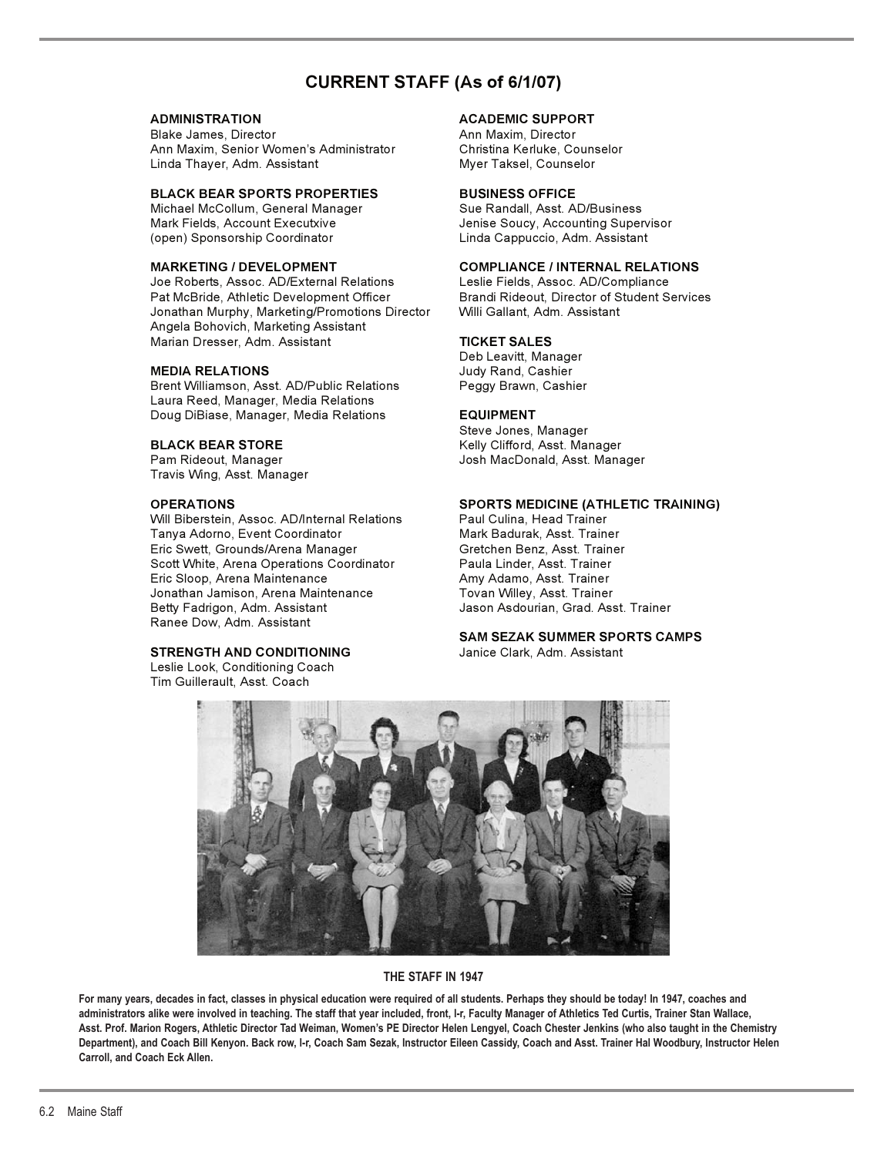## **CURRENT STAFF (As of 6/1/07)**

Blake James, Director **Ann Maxim, Director** Ann Maxim, Director Ann Maxim, Senior Women's Administrator Christina Kerluke, Counselor Linda Thayer, Adm. Assistant Myer Taksel, Counselor

# **BLACK BEAR SPORTS PROPERTIES BUSINESS OFFICE**

Michael McCollum, General Manager (open) Sponsorship Coordinator Linda Cappuccio, Adm. Assistant

Joe Roberts, Assoc. AD/External Relations<br>Pat McBride, Athletic Development Officer Jonathan Murphy, Marketing/Promotions Director Willi Gallant, Adm. Assistant Angela Bohovich, Marketing Assistant Marian Dresser, Adm. Assistant **TICKET SALES** 

Brent Williamson, Asst. AD/Public Relations Peggy Brawn, Cashier Laura Reed, Manager, Media Relations Doug DiBiase, Manager, Media Relations **EQUIPMENT** 

Travis Wing, Asst. Manager

Will Biberstein, Assoc. AD/Internal Relations Paul Culina, Head Trainer Tanya Adorno, Event Coordinator **Mark Badurak, Asst. Trainer** Eric Swett, Grounds/Arena Manager Gretchen Benz, Asst. Trainer Scott White, Arena Operations Coordinator Paula Linder, Asst. Trainer Eric Sloop, Arena Maintenance Jonathan Jamison, Arena Maintenance Tovan Willey, Asst. Trainer Betty Fadrigon, Adm. Assistant Gaster Management Jason Asdourian, Grad. Asst. Trainer Ranee Dow, Adm. Assistant

### **STRENGTH AND CONDITIONING**

Leslie Look, Conditioning Coach Tim Guillerault, Asst. Coach

### **ADMINISTRATION ACADEMIC SUPPORT**

Mark Fields, Account Executxive **Fields** Jenise Soucy, Accounting Supervisor

# **MARKETING / DEVELOPMENT COMPLIANCE / INTERNAL RELATIONS**

Brandi Rideout, Director of Student Services

Deb Leavitt, Manager **MEDIA RELATIONS** Judy Rand, Cashier

Steve Jones, Manager **BLACK BEAR STORE** The Manager Melly Clifford, Asst. Manager<br>
Pam Rideout, Manager The Manager Show Josh MacDonald, Asst. Mana Josh MacDonald, Asst. Manager

### **OPERATIONS SPORTS MEDICINE (ATHLETIC TRAINING)**

# **SAM SEZAK SUMMER SPORTS CAMPS**



### **THE STAFF IN 1947**

For many vears, decades in fact, classes in physical education were required of all students. Perhaps they should be today! In 1947, coaches and **administrators alike were involved in teaching. The staff that year included, front, l-r, Faculty Manager of Athletics Ted Curtis, Trainer Stan Wallace, Asst. Prof. Marion Rogers, Athletic Director Tad Weiman, Women's PE Director Helen Lengyel, Coach Chester Jenkins (who also taught in the Chemistry Department), and Coach Bill Kenyon. Back row, l-r, Coach Sam Sezak, Instructor Eileen Cassidy, Coach and Asst. Trainer Hal Woodbury, Instructor Helen Carroll, and Coach Eck Allen.**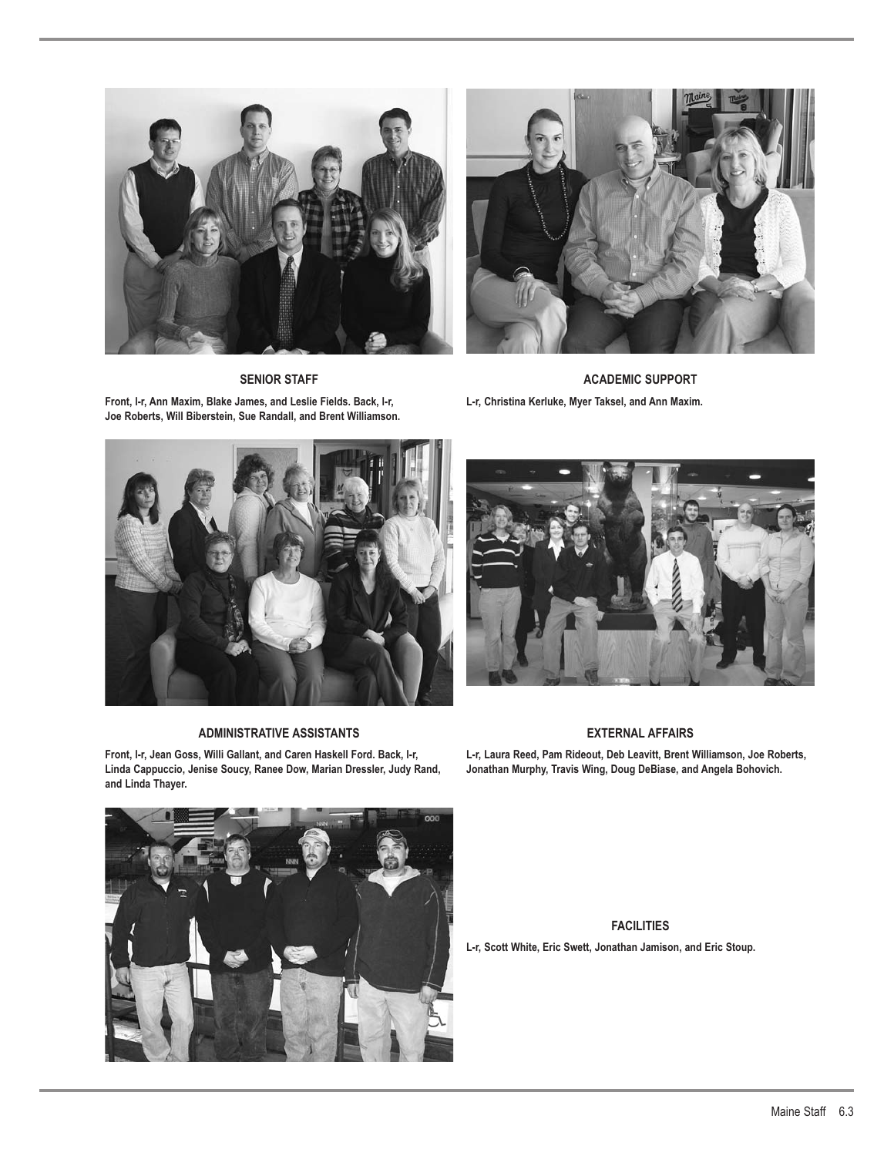



**SENIOR STAFF**

**Front, l-r, Ann Maxim, Blake James, and Leslie Fields. Back, l-r, Joe Roberts, Will Biberstein, Sue Randall, and Brent Williamson.**

**ACADEMIC SUPPORT L-r, Christina Kerluke, Myer Taksel, and Ann Maxim.**



### **ADMINISTRATIVE ASSISTANTS**

**Front, l-r, Jean Goss, Willi Gallant, and Caren Haskell Ford. Back, l-r, Linda Cappuccio, Jenise Soucy, Ranee Dow, Marian Dressler, Judy Rand, and Linda Thayer.**



### **EXTERNAL AFFAIRS**

**L-r, Laura Reed, Pam Rideout, Deb Leavitt, Brent Williamson, Joe Roberts, Jonathan Murphy, Travis Wing, Doug DeBiase, and Angela Bohovich.**



**FACILITIES L-r, Scott White, Eric Swett, Jonathan Jamison, and Eric Stoup.**